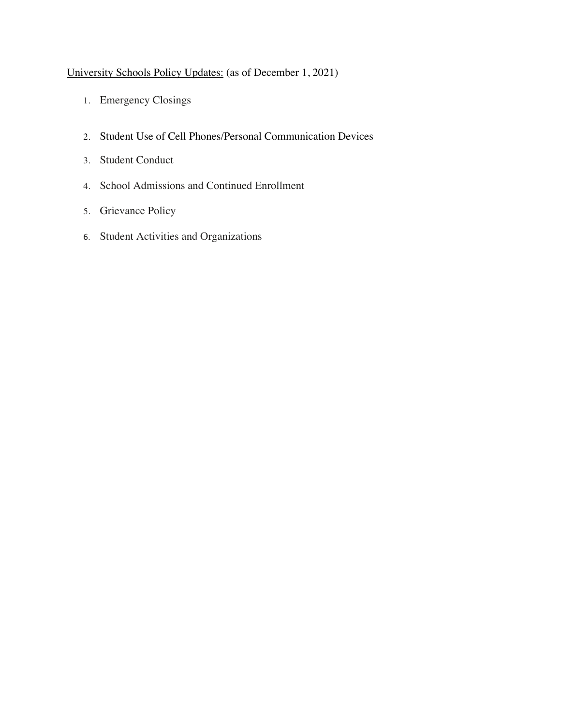# University Schools Policy Updates: (as of December 1, 2021)

- 1. Emergency Closings
- 2. Student Use of Cell Phones/Personal Communication Devices
- 3. Student Conduct
- 4. School Admissions and Continued Enrollment
- 5. Grievance Policy
- 6. Student Activities and Organizations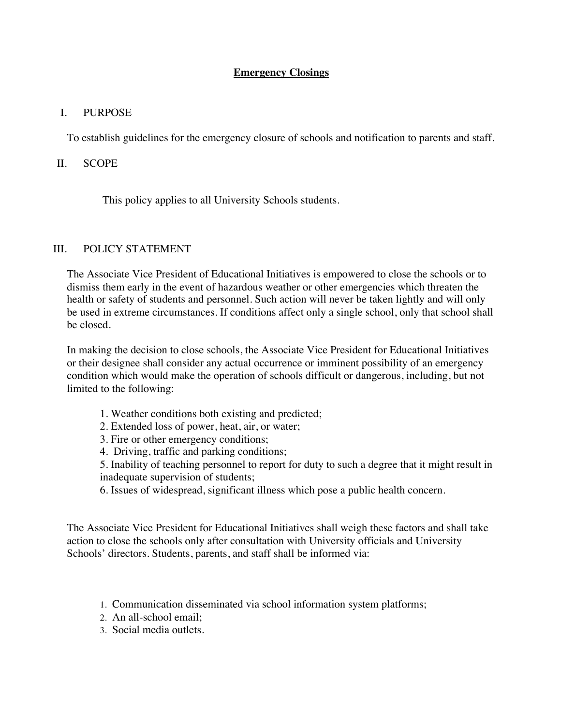## **Emergency Closings**

#### I. PURPOSE

To establish guidelines for the emergency closure of schools and notification to parents and staff.

#### II. SCOPE

This policy applies to all University Schools students.

#### III. POLICY STATEMENT

The Associate Vice President of Educational Initiatives is empowered to close the schools or to dismiss them early in the event of hazardous weather or other emergencies which threaten the health or safety of students and personnel. Such action will never be taken lightly and will only be used in extreme circumstances. If conditions affect only a single school, only that school shall be closed.

In making the decision to close schools, the Associate Vice President for Educational Initiatives or their designee shall consider any actual occurrence or imminent possibility of an emergency condition which would make the operation of schools difficult or dangerous, including, but not limited to the following:

- 1. Weather conditions both existing and predicted;
- 2. Extended loss of power, heat, air, or water;
- 3. Fire or other emergency conditions;
- 4. Driving, traffic and parking conditions;

5. Inability of teaching personnel to report for duty to such a degree that it might result in inadequate supervision of students;

6. Issues of widespread, significant illness which pose a public health concern.

The Associate Vice President for Educational Initiatives shall weigh these factors and shall take action to close the schools only after consultation with University officials and University Schools' directors. Students, parents, and staff shall be informed via:

- 1. Communication disseminated via school information system platforms;
- 2. An all-school email;
- 3. Social media outlets.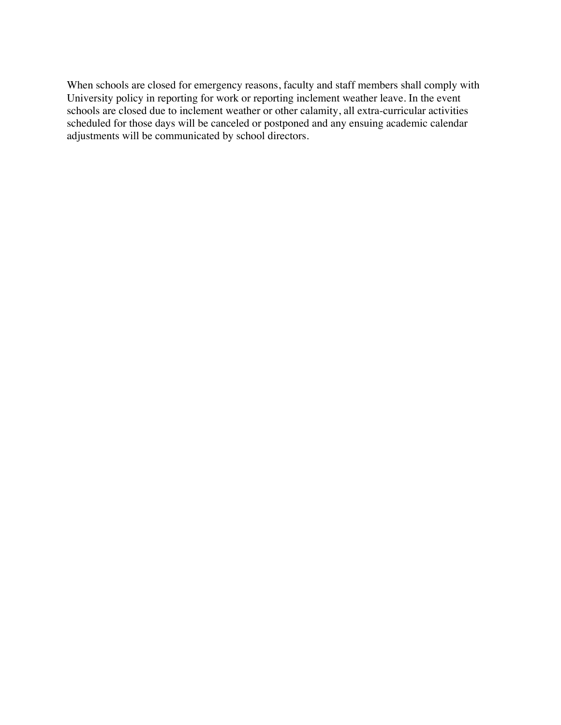When schools are closed for emergency reasons, faculty and staff members shall comply with University policy in reporting for work or reporting inclement weather leave. In the event schools are closed due to inclement weather or other calamity, all extra-curricular activities scheduled for those days will be canceled or postponed and any ensuing academic calendar adjustments will be communicated by school directors.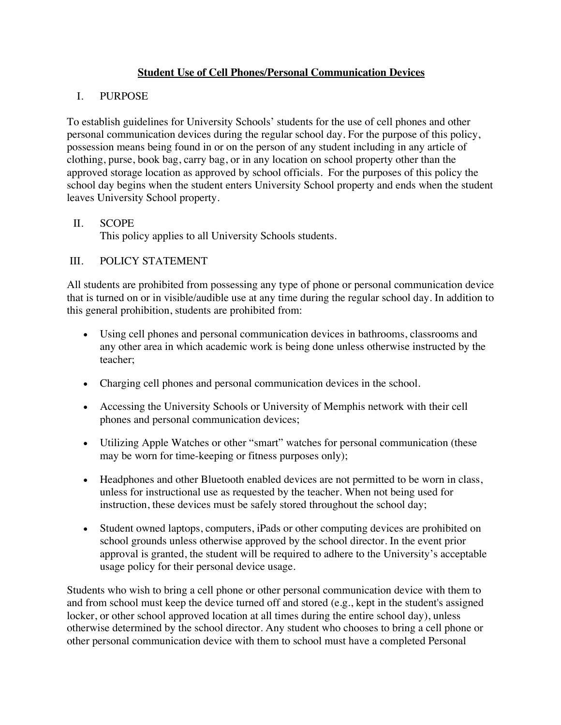## **Student Use of Cell Phones/Personal Communication Devices**

## I. PURPOSE

To establish guidelines for University Schools' students for the use of cell phones and other personal communication devices during the regular school day. For the purpose of this policy, possession means being found in or on the person of any student including in any article of clothing, purse, book bag, carry bag, or in any location on school property other than the approved storage location as approved by school officials. For the purposes of this policy the school day begins when the student enters University School property and ends when the student leaves University School property.

## II. SCOPE

This policy applies to all University Schools students.

## III. POLICY STATEMENT

All students are prohibited from possessing any type of phone or personal communication device that is turned on or in visible/audible use at any time during the regular school day. In addition to this general prohibition, students are prohibited from:

- Using cell phones and personal communication devices in bathrooms, classrooms and any other area in which academic work is being done unless otherwise instructed by the teacher;
- Charging cell phones and personal communication devices in the school.
- Accessing the University Schools or University of Memphis network with their cell phones and personal communication devices;
- Utilizing Apple Watches or other "smart" watches for personal communication (these may be worn for time-keeping or fitness purposes only);
- Headphones and other Bluetooth enabled devices are not permitted to be worn in class, unless for instructional use as requested by the teacher. When not being used for instruction, these devices must be safely stored throughout the school day;
- Student owned laptops, computers, iPads or other computing devices are prohibited on school grounds unless otherwise approved by the school director. In the event prior approval is granted, the student will be required to adhere to the University's acceptable usage policy for their personal device usage.

Students who wish to bring a cell phone or other personal communication device with them to and from school must keep the device turned off and stored (e.g., kept in the student's assigned locker, or other school approved location at all times during the entire school day), unless otherwise determined by the school director. Any student who chooses to bring a cell phone or other personal communication device with them to school must have a completed Personal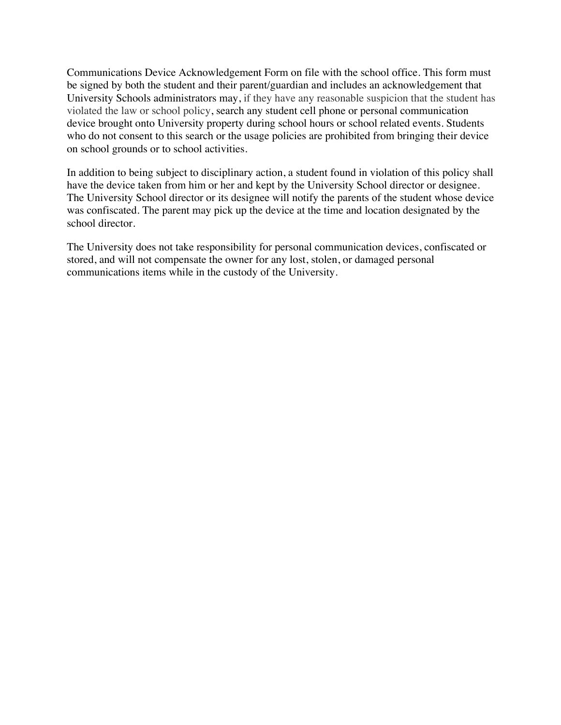Communications Device Acknowledgement Form on file with the school office. This form must be signed by both the student and their parent/guardian and includes an acknowledgement that University Schools administrators may, if they have any reasonable suspicion that the student has violated the law or school policy, search any student cell phone or personal communication device brought onto University property during school hours or school related events. Students who do not consent to this search or the usage policies are prohibited from bringing their device on school grounds or to school activities.

In addition to being subject to disciplinary action, a student found in violation of this policy shall have the device taken from him or her and kept by the University School director or designee. The University School director or its designee will notify the parents of the student whose device was confiscated. The parent may pick up the device at the time and location designated by the school director.

The University does not take responsibility for personal communication devices, confiscated or stored, and will not compensate the owner for any lost, stolen, or damaged personal communications items while in the custody of the University.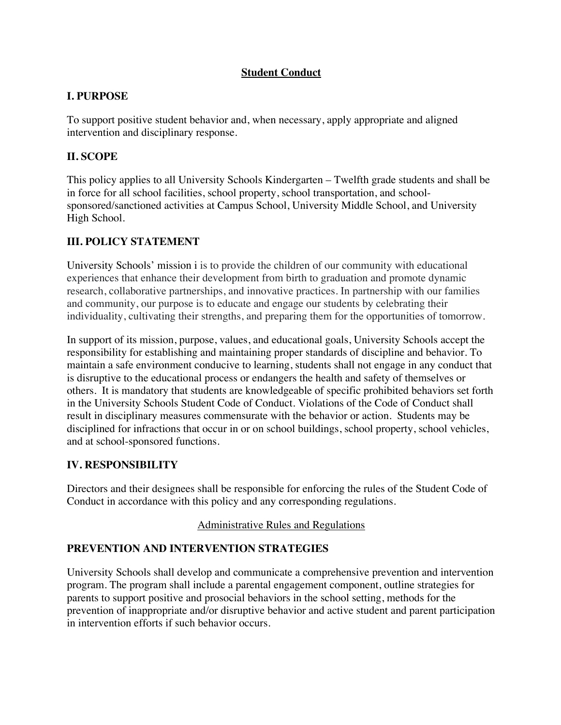## **Student Conduct**

## **I. PURPOSE**

To support positive student behavior and, when necessary, apply appropriate and aligned intervention and disciplinary response.

# **II. SCOPE**

This policy applies to all University Schools Kindergarten – Twelfth grade students and shall be in force for all school facilities, school property, school transportation, and schoolsponsored/sanctioned activities at Campus School, University Middle School, and University High School.

# **III. POLICY STATEMENT**

University Schools' mission i is to provide the children of our community with educational experiences that enhance their development from birth to graduation and promote dynamic research, collaborative partnerships, and innovative practices. In partnership with our families and community, our purpose is to educate and engage our students by celebrating their individuality, cultivating their strengths, and preparing them for the opportunities of tomorrow.

In support of its mission, purpose, values, and educational goals, University Schools accept the responsibility for establishing and maintaining proper standards of discipline and behavior. To maintain a safe environment conducive to learning, students shall not engage in any conduct that is disruptive to the educational process or endangers the health and safety of themselves or others. It is mandatory that students are knowledgeable of specific prohibited behaviors set forth in the University Schools Student Code of Conduct. Violations of the Code of Conduct shall result in disciplinary measures commensurate with the behavior or action. Students may be disciplined for infractions that occur in or on school buildings, school property, school vehicles, and at school-sponsored functions.

## **IV. RESPONSIBILITY**

Directors and their designees shall be responsible for enforcing the rules of the Student Code of Conduct in accordance with this policy and any corresponding regulations.

## Administrative Rules and Regulations

# **PREVENTION AND INTERVENTION STRATEGIES**

University Schools shall develop and communicate a comprehensive prevention and intervention program. The program shall include a parental engagement component, outline strategies for parents to support positive and prosocial behaviors in the school setting, methods for the prevention of inappropriate and/or disruptive behavior and active student and parent participation in intervention efforts if such behavior occurs.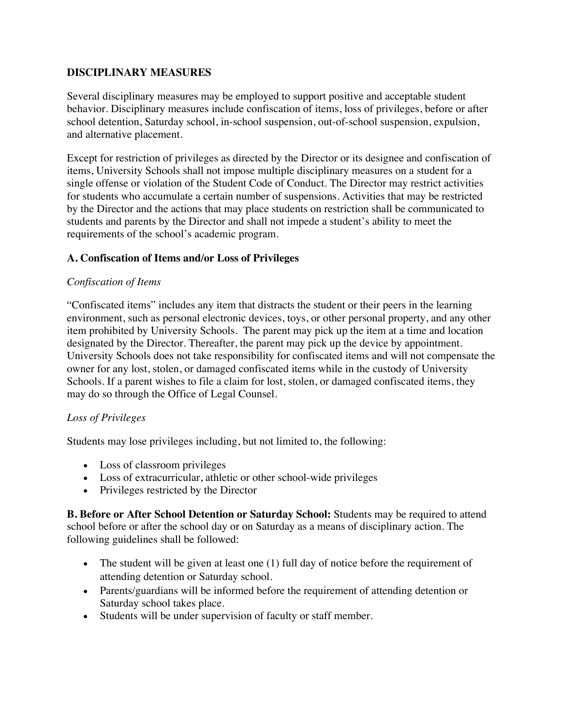#### **DISCIPLINARY MEASURES**

Several disciplinary measures may be employed to support positive and acceptable student behavior. Disciplinary measures include confiscation of items, loss of privileges, before or after school detention, Saturday school, in-school suspension, out-of-school suspension, expulsion, and alternative placement.

Except for restriction of privileges as directed by the Director or its designee and confiscation of items, University Schools shall not impose multiple disciplinary measures on a student for a single offense or violation of the Student Code of Conduct. The Director may restrict activities for students who accumulate a certain number of suspensions. Activities that may be restricted by the Director and the actions that may place students on restriction shall be communicated to students and parents by the Director and shall not impede a student's ability to meet the requirements of the school's academic program.

#### **A. Confiscation of Items and/or Loss of Privileges**

#### *Confiscation of Items*

"Confiscated items" includes any item that distracts the student or their peers in the learning environment, such as personal electronic devices, toys, or other personal property, and any other item prohibited by University Schools. The parent may pick up the item at a time and location designated by the Director. Thereafter, the parent may pick up the device by appointment. University Schools does not take responsibility for confiscated items and will not compensate the owner for any lost, stolen, or damaged confiscated items while in the custody of University Schools. If a parent wishes to file a claim for lost, stolen, or damaged confiscated items, they may do so through the Office of Legal Counsel.

## *Loss of Privileges*

Students may lose privileges including, but not limited to, the following:

- Loss of classroom privileges
- Loss of extracurricular, athletic or other school-wide privileges
- Privileges restricted by the Director

**B. Before or After School Detention or Saturday School:** Students may be required to attend school before or after the school day or on Saturday as a means of disciplinary action. The following guidelines shall be followed:

- The student will be given at least one (1) full day of notice before the requirement of attending detention or Saturday school.
- Parents/guardians will be informed before the requirement of attending detention or Saturday school takes place.
- Students will be under supervision of faculty or staff member.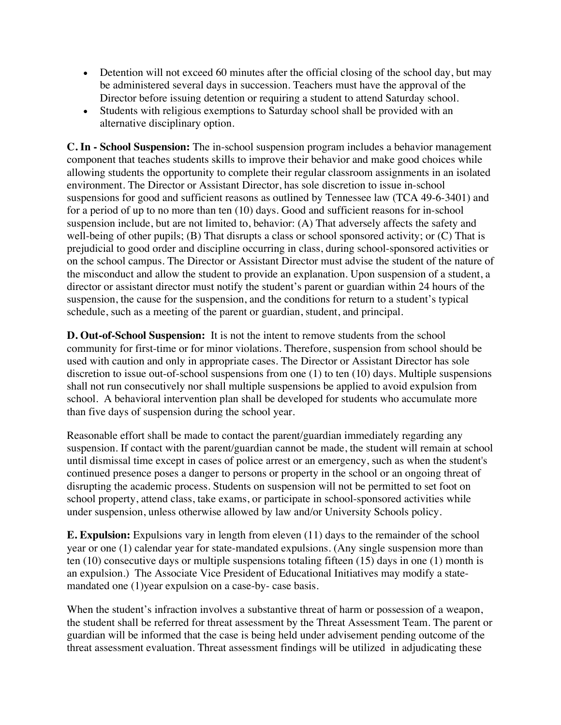- Detention will not exceed 60 minutes after the official closing of the school day, but may be administered several days in succession. Teachers must have the approval of the Director before issuing detention or requiring a student to attend Saturday school.
- Students with religious exemptions to Saturday school shall be provided with an alternative disciplinary option.

**C. In - School Suspension:** The in-school suspension program includes a behavior management component that teaches students skills to improve their behavior and make good choices while allowing students the opportunity to complete their regular classroom assignments in an isolated environment. The Director or Assistant Director, has sole discretion to issue in-school suspensions for good and sufficient reasons as outlined by Tennessee law (TCA 49-6-3401) and for a period of up to no more than ten (10) days. Good and sufficient reasons for in-school suspension include, but are not limited to, behavior: (A) That adversely affects the safety and well-being of other pupils;  $(B)$  That disrupts a class or school sponsored activity; or  $(C)$  That is prejudicial to good order and discipline occurring in class, during school-sponsored activities or on the school campus. The Director or Assistant Director must advise the student of the nature of the misconduct and allow the student to provide an explanation. Upon suspension of a student, a director or assistant director must notify the student's parent or guardian within 24 hours of the suspension, the cause for the suspension, and the conditions for return to a student's typical schedule, such as a meeting of the parent or guardian, student, and principal.

**D. Out-of-School Suspension:** It is not the intent to remove students from the school community for first-time or for minor violations. Therefore, suspension from school should be used with caution and only in appropriate cases. The Director or Assistant Director has sole discretion to issue out-of-school suspensions from one (1) to ten (10) days. Multiple suspensions shall not run consecutively nor shall multiple suspensions be applied to avoid expulsion from school. A behavioral intervention plan shall be developed for students who accumulate more than five days of suspension during the school year.

Reasonable effort shall be made to contact the parent/guardian immediately regarding any suspension. If contact with the parent/guardian cannot be made, the student will remain at school until dismissal time except in cases of police arrest or an emergency, such as when the student's continued presence poses a danger to persons or property in the school or an ongoing threat of disrupting the academic process. Students on suspension will not be permitted to set foot on school property, attend class, take exams, or participate in school-sponsored activities while under suspension, unless otherwise allowed by law and/or University Schools policy.

**E. Expulsion:** Expulsions vary in length from eleven (11) days to the remainder of the school year or one (1) calendar year for state-mandated expulsions. (Any single suspension more than ten (10) consecutive days or multiple suspensions totaling fifteen (15) days in one (1) month is an expulsion.) The Associate Vice President of Educational Initiatives may modify a statemandated one (1)year expulsion on a case-by- case basis.

When the student's infraction involves a substantive threat of harm or possession of a weapon, the student shall be referred for threat assessment by the Threat Assessment Team. The parent or guardian will be informed that the case is being held under advisement pending outcome of the threat assessment evaluation. Threat assessment findings will be utilized in adjudicating these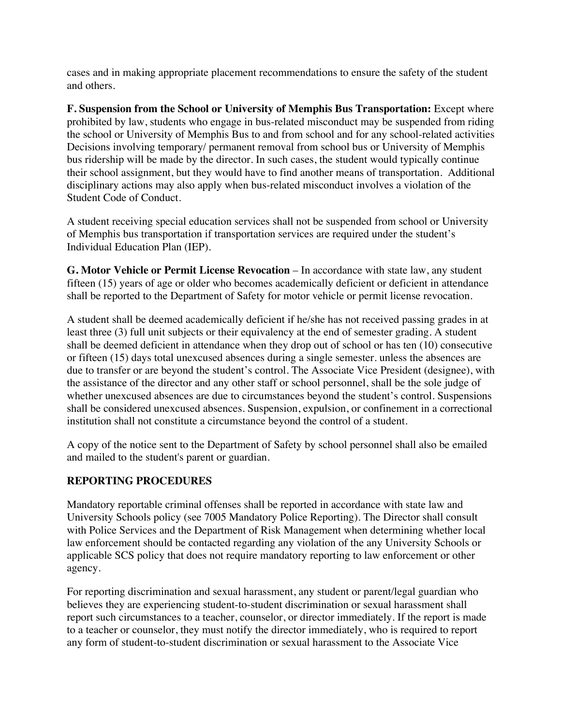cases and in making appropriate placement recommendations to ensure the safety of the student and others.

**F. Suspension from the School or University of Memphis Bus Transportation:** Except where prohibited by law, students who engage in bus-related misconduct may be suspended from riding the school or University of Memphis Bus to and from school and for any school-related activities Decisions involving temporary/ permanent removal from school bus or University of Memphis bus ridership will be made by the director. In such cases, the student would typically continue their school assignment, but they would have to find another means of transportation. Additional disciplinary actions may also apply when bus-related misconduct involves a violation of the Student Code of Conduct.

A student receiving special education services shall not be suspended from school or University of Memphis bus transportation if transportation services are required under the student's Individual Education Plan (IEP).

**G. Motor Vehicle or Permit License Revocation** – In accordance with state law, any student fifteen (15) years of age or older who becomes academically deficient or deficient in attendance shall be reported to the Department of Safety for motor vehicle or permit license revocation.

A student shall be deemed academically deficient if he/she has not received passing grades in at least three (3) full unit subjects or their equivalency at the end of semester grading. A student shall be deemed deficient in attendance when they drop out of school or has ten (10) consecutive or fifteen (15) days total unexcused absences during a single semester. unless the absences are due to transfer or are beyond the student's control. The Associate Vice President (designee), with the assistance of the director and any other staff or school personnel, shall be the sole judge of whether unexcused absences are due to circumstances beyond the student's control. Suspensions shall be considered unexcused absences. Suspension, expulsion, or confinement in a correctional institution shall not constitute a circumstance beyond the control of a student.

A copy of the notice sent to the Department of Safety by school personnel shall also be emailed and mailed to the student's parent or guardian.

## **REPORTING PROCEDURES**

Mandatory reportable criminal offenses shall be reported in accordance with state law and University Schools policy (see 7005 Mandatory Police Reporting). The Director shall consult with Police Services and the Department of Risk Management when determining whether local law enforcement should be contacted regarding any violation of the any University Schools or applicable SCS policy that does not require mandatory reporting to law enforcement or other agency.

For reporting discrimination and sexual harassment, any student or parent/legal guardian who believes they are experiencing student-to-student discrimination or sexual harassment shall report such circumstances to a teacher, counselor, or director immediately. If the report is made to a teacher or counselor, they must notify the director immediately, who is required to report any form of student-to-student discrimination or sexual harassment to the Associate Vice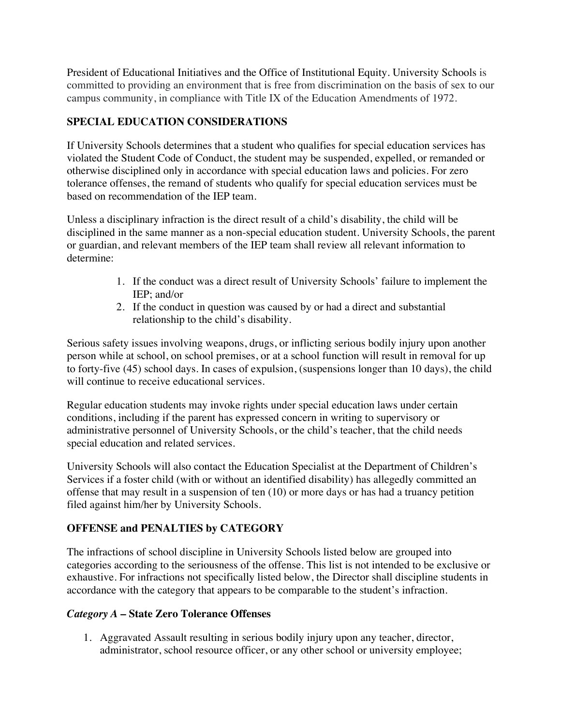President of Educational Initiatives and the Office of Institutional Equity. University Schools is committed to providing an environment that is free from discrimination on the basis of sex to our campus community, in compliance with Title IX of the Education Amendments of 1972.

# **SPECIAL EDUCATION CONSIDERATIONS**

If University Schools determines that a student who qualifies for special education services has violated the Student Code of Conduct, the student may be suspended, expelled, or remanded or otherwise disciplined only in accordance with special education laws and policies. For zero tolerance offenses, the remand of students who qualify for special education services must be based on recommendation of the IEP team.

Unless a disciplinary infraction is the direct result of a child's disability, the child will be disciplined in the same manner as a non-special education student. University Schools, the parent or guardian, and relevant members of the IEP team shall review all relevant information to determine:

- 1. If the conduct was a direct result of University Schools' failure to implement the IEP; and/or
- 2. If the conduct in question was caused by or had a direct and substantial relationship to the child's disability.

Serious safety issues involving weapons, drugs, or inflicting serious bodily injury upon another person while at school, on school premises, or at a school function will result in removal for up to forty-five (45) school days. In cases of expulsion, (suspensions longer than 10 days), the child will continue to receive educational services.

Regular education students may invoke rights under special education laws under certain conditions, including if the parent has expressed concern in writing to supervisory or administrative personnel of University Schools, or the child's teacher, that the child needs special education and related services.

University Schools will also contact the Education Specialist at the Department of Children's Services if a foster child (with or without an identified disability) has allegedly committed an offense that may result in a suspension of ten (10) or more days or has had a truancy petition filed against him/her by University Schools.

# **OFFENSE and PENALTIES by CATEGORY**

The infractions of school discipline in University Schools listed below are grouped into categories according to the seriousness of the offense. This list is not intended to be exclusive or exhaustive. For infractions not specifically listed below, the Director shall discipline students in accordance with the category that appears to be comparable to the student's infraction.

## *Category A* **– State Zero Tolerance Offenses**

1. Aggravated Assault resulting in serious bodily injury upon any teacher, director, administrator, school resource officer, or any other school or university employee;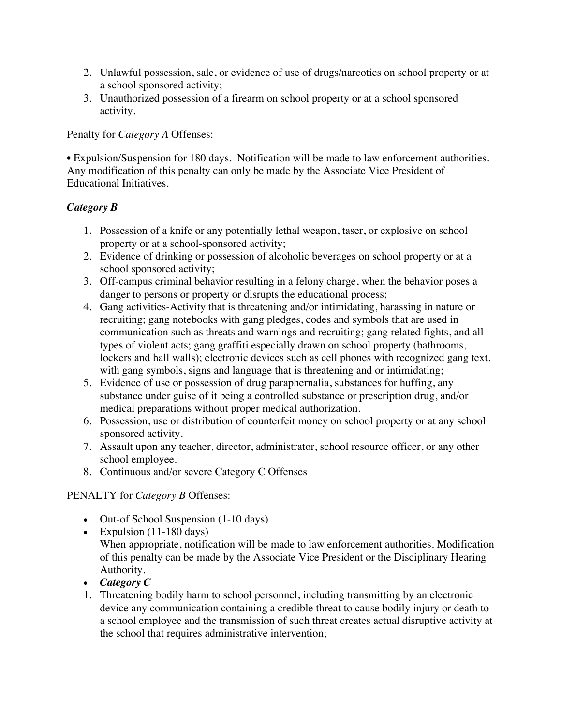- 2. Unlawful possession, sale, or evidence of use of drugs/narcotics on school property or at a school sponsored activity;
- 3. Unauthorized possession of a firearm on school property or at a school sponsored activity.

Penalty for *Category A* Offenses:

• Expulsion/Suspension for 180 days. Notification will be made to law enforcement authorities. Any modification of this penalty can only be made by the Associate Vice President of Educational Initiatives.

## *Category B*

- 1. Possession of a knife or any potentially lethal weapon, taser, or explosive on school property or at a school-sponsored activity;
- 2. Evidence of drinking or possession of alcoholic beverages on school property or at a school sponsored activity;
- 3. Off-campus criminal behavior resulting in a felony charge, when the behavior poses a danger to persons or property or disrupts the educational process;
- 4. Gang activities-Activity that is threatening and/or intimidating, harassing in nature or recruiting; gang notebooks with gang pledges, codes and symbols that are used in communication such as threats and warnings and recruiting; gang related fights, and all types of violent acts; gang graffiti especially drawn on school property (bathrooms, lockers and hall walls); electronic devices such as cell phones with recognized gang text, with gang symbols, signs and language that is threatening and or intimidating;
- 5. Evidence of use or possession of drug paraphernalia, substances for huffing, any substance under guise of it being a controlled substance or prescription drug, and/or medical preparations without proper medical authorization.
- 6. Possession, use or distribution of counterfeit money on school property or at any school sponsored activity.
- 7. Assault upon any teacher, director, administrator, school resource officer, or any other school employee.
- 8. Continuous and/or severe Category C Offenses

PENALTY for *Category B* Offenses:

- Out-of School Suspension (1-10 days)
- Expulsion  $(11-180 \text{ days})$ When appropriate, notification will be made to law enforcement authorities. Modification of this penalty can be made by the Associate Vice President or the Disciplinary Hearing Authority.
- *Category C*
- 1. Threatening bodily harm to school personnel, including transmitting by an electronic device any communication containing a credible threat to cause bodily injury or death to a school employee and the transmission of such threat creates actual disruptive activity at the school that requires administrative intervention;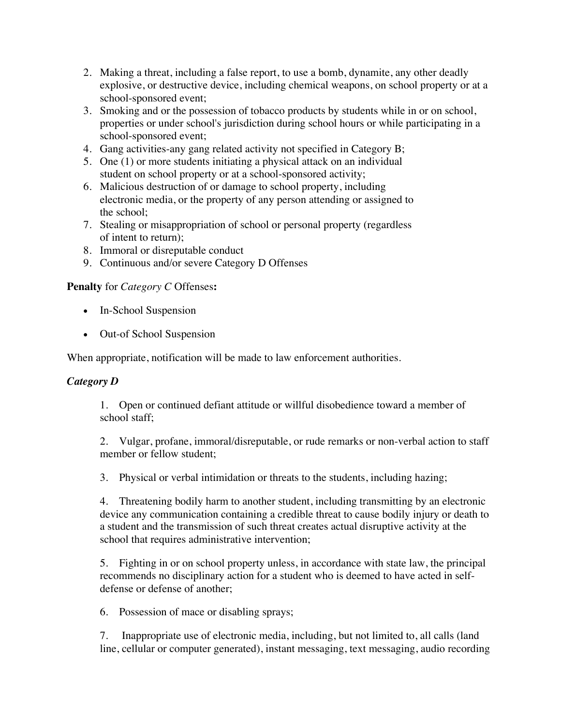- 2. Making a threat, including a false report, to use a bomb, dynamite, any other deadly explosive, or destructive device, including chemical weapons, on school property or at a school-sponsored event;
- 3. Smoking and or the possession of tobacco products by students while in or on school, properties or under school's jurisdiction during school hours or while participating in a school-sponsored event;
- 4. Gang activities-any gang related activity not specified in Category B;
- 5. One (1) or more students initiating a physical attack on an individual student on school property or at a school-sponsored activity;
- 6. Malicious destruction of or damage to school property, including electronic media, or the property of any person attending or assigned to the school;
- 7. Stealing or misappropriation of school or personal property (regardless of intent to return);
- 8. Immoral or disreputable conduct
- 9. Continuous and/or severe Category D Offenses

## **Penalty** for *Category C* Offenses**:**

- In-School Suspension
- Out-of School Suspension

When appropriate, notification will be made to law enforcement authorities.

## *Category D*

1. Open or continued defiant attitude or willful disobedience toward a member of school staff;

2. Vulgar, profane, immoral/disreputable, or rude remarks or non-verbal action to staff member or fellow student;

3. Physical or verbal intimidation or threats to the students, including hazing;

4. Threatening bodily harm to another student, including transmitting by an electronic device any communication containing a credible threat to cause bodily injury or death to a student and the transmission of such threat creates actual disruptive activity at the school that requires administrative intervention;

5. Fighting in or on school property unless, in accordance with state law, the principal recommends no disciplinary action for a student who is deemed to have acted in selfdefense or defense of another;

6. Possession of mace or disabling sprays;

7. Inappropriate use of electronic media, including, but not limited to, all calls (land line, cellular or computer generated), instant messaging, text messaging, audio recording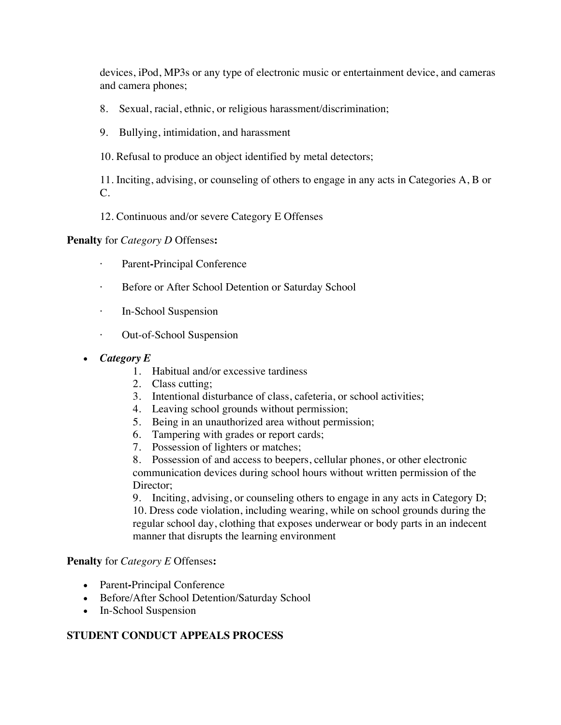devices, iPod, MP3s or any type of electronic music or entertainment device, and cameras and camera phones;

- 8. Sexual, racial, ethnic, or religious harassment/discrimination;
- 9. Bullying, intimidation, and harassment
- 10. Refusal to produce an object identified by metal detectors;

11. Inciting, advising, or counseling of others to engage in any acts in Categories A, B or C.

12. Continuous and/or severe Category E Offenses

**Penalty** for *Category D* Offenses**:**

- Parent-Principal Conference
- Before or After School Detention or Saturday School
- · In-School Suspension
- · Out-of-School Suspension
- *Category E*
	- 1. Habitual and/or excessive tardiness
	- 2. Class cutting;
	- 3. Intentional disturbance of class, cafeteria, or school activities;
	- 4. Leaving school grounds without permission;
	- 5. Being in an unauthorized area without permission;
	- 6. Tampering with grades or report cards;
	- 7. Possession of lighters or matches;

8. Possession of and access to beepers, cellular phones, or other electronic communication devices during school hours without written permission of the Director:

9. Inciting, advising, or counseling others to engage in any acts in Category D; 10. Dress code violation, including wearing, while on school grounds during the regular school day, clothing that exposes underwear or body parts in an indecent manner that disrupts the learning environment

#### **Penalty** for *Category E* Offenses**:**

- Parent**-**Principal Conference
- Before/After School Detention/Saturday School
- In-School Suspension

## **STUDENT CONDUCT APPEALS PROCESS**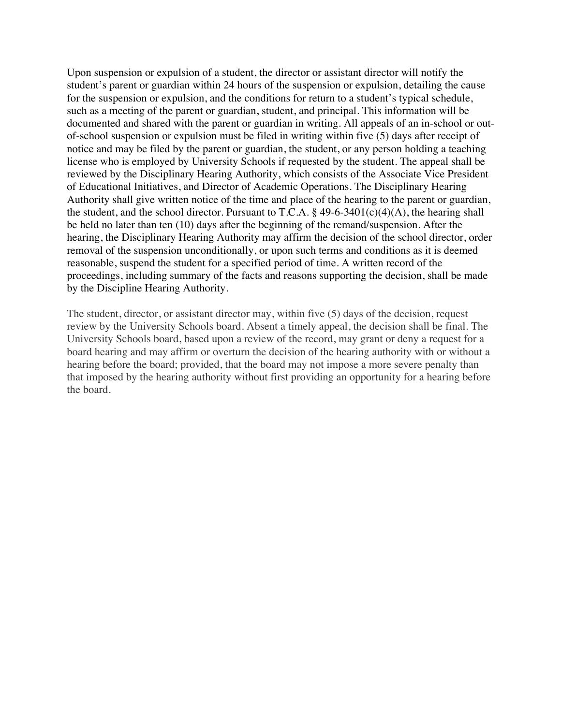Upon suspension or expulsion of a student, the director or assistant director will notify the student's parent or guardian within 24 hours of the suspension or expulsion, detailing the cause for the suspension or expulsion, and the conditions for return to a student's typical schedule, such as a meeting of the parent or guardian, student, and principal. This information will be documented and shared with the parent or guardian in writing. All appeals of an in-school or outof-school suspension or expulsion must be filed in writing within five (5) days after receipt of notice and may be filed by the parent or guardian, the student, or any person holding a teaching license who is employed by University Schools if requested by the student. The appeal shall be reviewed by the Disciplinary Hearing Authority, which consists of the Associate Vice President of Educational Initiatives, and Director of Academic Operations. The Disciplinary Hearing Authority shall give written notice of the time and place of the hearing to the parent or guardian, the student, and the school director. Pursuant to T.C.A.  $\S$  49-6-3401(c)(4)(A), the hearing shall be held no later than ten (10) days after the beginning of the remand/suspension. After the hearing, the Disciplinary Hearing Authority may affirm the decision of the school director, order removal of the suspension unconditionally, or upon such terms and conditions as it is deemed reasonable, suspend the student for a specified period of time. A written record of the proceedings, including summary of the facts and reasons supporting the decision, shall be made by the Discipline Hearing Authority.

The student, director, or assistant director may, within five (5) days of the decision, request review by the University Schools board. Absent a timely appeal, the decision shall be final. The University Schools board, based upon a review of the record, may grant or deny a request for a board hearing and may affirm or overturn the decision of the hearing authority with or without a hearing before the board; provided, that the board may not impose a more severe penalty than that imposed by the hearing authority without first providing an opportunity for a hearing before the board.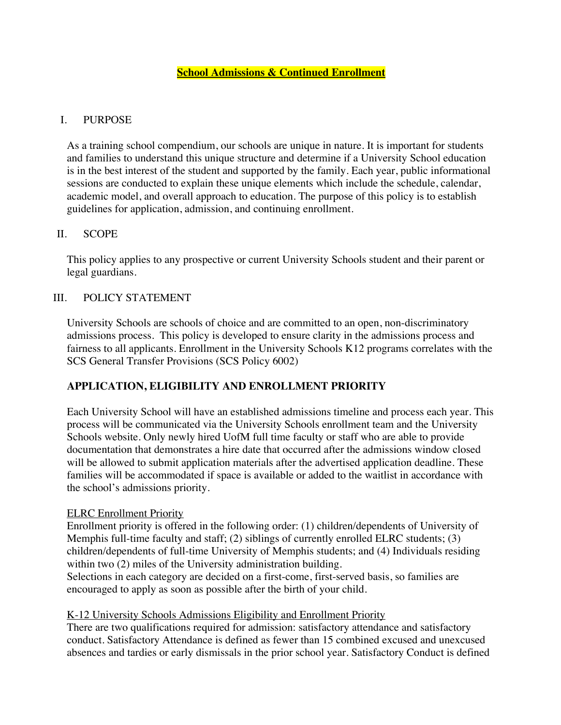## I. PURPOSE

As a training school compendium, our schools are unique in nature. It is important for students and families to understand this unique structure and determine if a University School education is in the best interest of the student and supported by the family. Each year, public informational sessions are conducted to explain these unique elements which include the schedule, calendar, academic model, and overall approach to education. The purpose of this policy is to establish guidelines for application, admission, and continuing enrollment.

#### II. SCOPE

This policy applies to any prospective or current University Schools student and their parent or legal guardians.

## III. POLICY STATEMENT

University Schools are schools of choice and are committed to an open, non-discriminatory admissions process. This policy is developed to ensure clarity in the admissions process and fairness to all applicants. Enrollment in the University Schools K12 programs correlates with the SCS General Transfer Provisions (SCS Policy 6002)

## **APPLICATION, ELIGIBILITY AND ENROLLMENT PRIORITY**

Each University School will have an established admissions timeline and process each year. This process will be communicated via the University Schools enrollment team and the University Schools website. Only newly hired UofM full time faculty or staff who are able to provide documentation that demonstrates a hire date that occurred after the admissions window closed will be allowed to submit application materials after the advertised application deadline. These families will be accommodated if space is available or added to the waitlist in accordance with the school's admissions priority.

#### ELRC Enrollment Priority

Enrollment priority is offered in the following order: (1) children/dependents of University of Memphis full-time faculty and staff; (2) siblings of currently enrolled ELRC students; (3) children/dependents of full-time University of Memphis students; and (4) Individuals residing within two (2) miles of the University administration building.

Selections in each category are decided on a first-come, first-served basis, so families are encouraged to apply as soon as possible after the birth of your child.

## K-12 University Schools Admissions Eligibility and Enrollment Priority

There are two qualifications required for admission: satisfactory attendance and satisfactory conduct. Satisfactory Attendance is defined as fewer than 15 combined excused and unexcused absences and tardies or early dismissals in the prior school year. Satisfactory Conduct is defined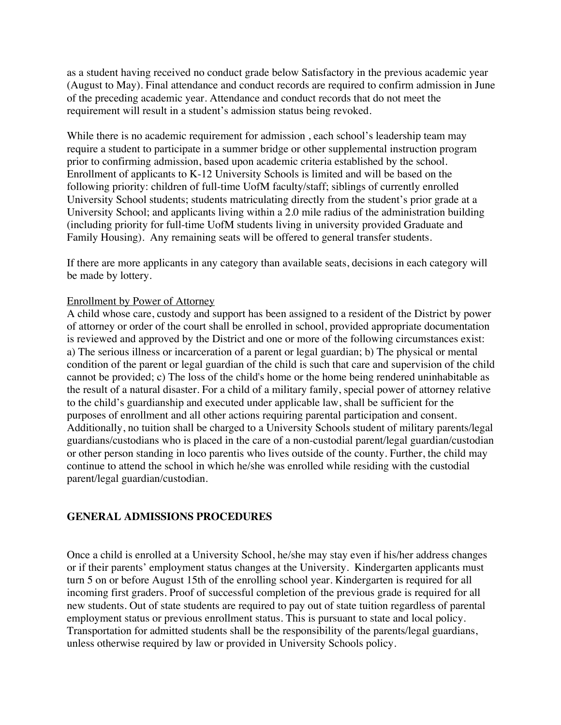as a student having received no conduct grade below Satisfactory in the previous academic year (August to May). Final attendance and conduct records are required to confirm admission in June of the preceding academic year. Attendance and conduct records that do not meet the requirement will result in a student's admission status being revoked.

While there is no academic requirement for admission , each school's leadership team may require a student to participate in a summer bridge or other supplemental instruction program prior to confirming admission, based upon academic criteria established by the school. Enrollment of applicants to K-12 University Schools is limited and will be based on the following priority: children of full-time UofM faculty/staff; siblings of currently enrolled University School students; students matriculating directly from the student's prior grade at a University School; and applicants living within a 2.0 mile radius of the administration building (including priority for full-time UofM students living in university provided Graduate and Family Housing). Any remaining seats will be offered to general transfer students.

If there are more applicants in any category than available seats, decisions in each category will be made by lottery.

#### Enrollment by Power of Attorney

A child whose care, custody and support has been assigned to a resident of the District by power of attorney or order of the court shall be enrolled in school, provided appropriate documentation is reviewed and approved by the District and one or more of the following circumstances exist: a) The serious illness or incarceration of a parent or legal guardian; b) The physical or mental condition of the parent or legal guardian of the child is such that care and supervision of the child cannot be provided; c) The loss of the child's home or the home being rendered uninhabitable as the result of a natural disaster. For a child of a military family, special power of attorney relative to the child's guardianship and executed under applicable law, shall be sufficient for the purposes of enrollment and all other actions requiring parental participation and consent. Additionally, no tuition shall be charged to a University Schools student of military parents/legal guardians/custodians who is placed in the care of a non-custodial parent/legal guardian/custodian or other person standing in loco parentis who lives outside of the county. Further, the child may continue to attend the school in which he/she was enrolled while residing with the custodial parent/legal guardian/custodian.

#### **GENERAL ADMISSIONS PROCEDURES**

Once a child is enrolled at a University School, he/she may stay even if his/her address changes or if their parents' employment status changes at the University. Kindergarten applicants must turn 5 on or before August 15th of the enrolling school year. Kindergarten is required for all incoming first graders. Proof of successful completion of the previous grade is required for all new students. Out of state students are required to pay out of state tuition regardless of parental employment status or previous enrollment status. This is pursuant to state and local policy. Transportation for admitted students shall be the responsibility of the parents/legal guardians, unless otherwise required by law or provided in University Schools policy.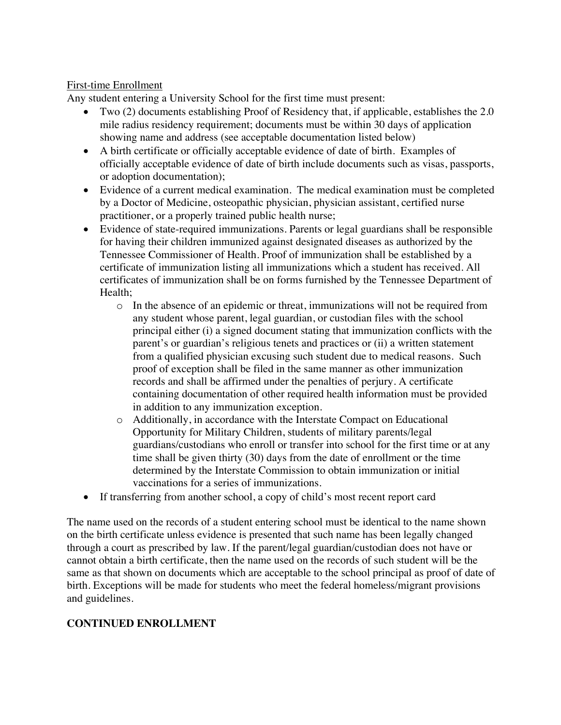#### First-time Enrollment

Any student entering a University School for the first time must present:

- Two (2) documents establishing Proof of Residency that, if applicable, establishes the 2.0 mile radius residency requirement; documents must be within 30 days of application showing name and address (see acceptable documentation listed below)
- A birth certificate or officially acceptable evidence of date of birth. Examples of officially acceptable evidence of date of birth include documents such as visas, passports, or adoption documentation);
- Evidence of a current medical examination. The medical examination must be completed by a Doctor of Medicine, osteopathic physician, physician assistant, certified nurse practitioner, or a properly trained public health nurse;
- Evidence of state-required immunizations. Parents or legal guardians shall be responsible for having their children immunized against designated diseases as authorized by the Tennessee Commissioner of Health. Proof of immunization shall be established by a certificate of immunization listing all immunizations which a student has received. All certificates of immunization shall be on forms furnished by the Tennessee Department of Health;
	- o In the absence of an epidemic or threat, immunizations will not be required from any student whose parent, legal guardian, or custodian files with the school principal either (i) a signed document stating that immunization conflicts with the parent's or guardian's religious tenets and practices or (ii) a written statement from a qualified physician excusing such student due to medical reasons. Such proof of exception shall be filed in the same manner as other immunization records and shall be affirmed under the penalties of perjury. A certificate containing documentation of other required health information must be provided in addition to any immunization exception.
	- o Additionally, in accordance with the Interstate Compact on Educational Opportunity for Military Children, students of military parents/legal guardians/custodians who enroll or transfer into school for the first time or at any time shall be given thirty (30) days from the date of enrollment or the time determined by the Interstate Commission to obtain immunization or initial vaccinations for a series of immunizations.
- If transferring from another school, a copy of child's most recent report card

The name used on the records of a student entering school must be identical to the name shown on the birth certificate unless evidence is presented that such name has been legally changed through a court as prescribed by law. If the parent/legal guardian/custodian does not have or cannot obtain a birth certificate, then the name used on the records of such student will be the same as that shown on documents which are acceptable to the school principal as proof of date of birth. Exceptions will be made for students who meet the federal homeless/migrant provisions and guidelines.

# **CONTINUED ENROLLMENT**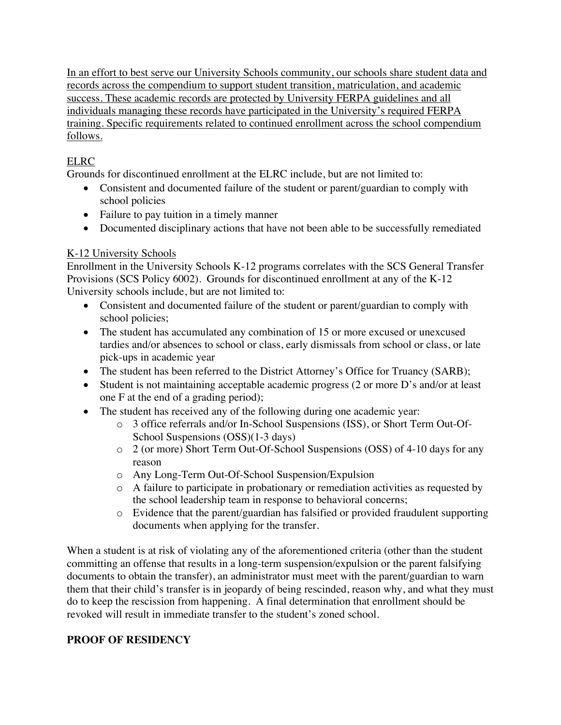In an effort to best serve our University Schools community, our schools share student data and records across the compendium to support student transition, matriculation, and academic success. These academic records are protected by University FERPA guidelines and all individuals managing these records have participated in the University's required FERPA training. Specific requirements related to continued enrollment across the school compendium follows.

# ELRC

Grounds for discontinued enrollment at the ELRC include, but are not limited to:

- Consistent and documented failure of the student or parent/guardian to comply with school policies
- Failure to pay tuition in a timely manner
- Documented disciplinary actions that have not been able to be successfully remediated

# K-12 University Schools

Enrollment in the University Schools K-12 programs correlates with the SCS General Transfer Provisions (SCS Policy 6002). Grounds for discontinued enrollment at any of the K-12 University schools include, but are not limited to:

- Consistent and documented failure of the student or parent/guardian to comply with school policies;
- The student has accumulated any combination of 15 or more excused or unexcused tardies and/or absences to school or class, early dismissals from school or class, or late pick-ups in academic year
- The student has been referred to the District Attorney's Office for Truancy (SARB);
- Student is not maintaining acceptable academic progress (2 or more D's and/or at least one F at the end of a grading period);
- The student has received any of the following during one academic year:
	- o 3 office referrals and/or In-School Suspensions (ISS), or Short Term Out-Of-School Suspensions (OSS)(1-3 days)
	- o 2 (or more) Short Term Out-Of-School Suspensions (OSS) of 4-10 days for any reason
	- o Any Long-Term Out-Of-School Suspension/Expulsion
	- o A failure to participate in probationary or remediation activities as requested by the school leadership team in response to behavioral concerns;
	- o Evidence that the parent/guardian has falsified or provided fraudulent supporting documents when applying for the transfer.

When a student is at risk of violating any of the aforementioned criteria (other than the student committing an offense that results in a long-term suspension/expulsion or the parent falsifying documents to obtain the transfer), an administrator must meet with the parent/guardian to warn them that their child's transfer is in jeopardy of being rescinded, reason why, and what they must do to keep the rescission from happening. A final determination that enrollment should be revoked will result in immediate transfer to the student's zoned school.

# **PROOF OF RESIDENCY**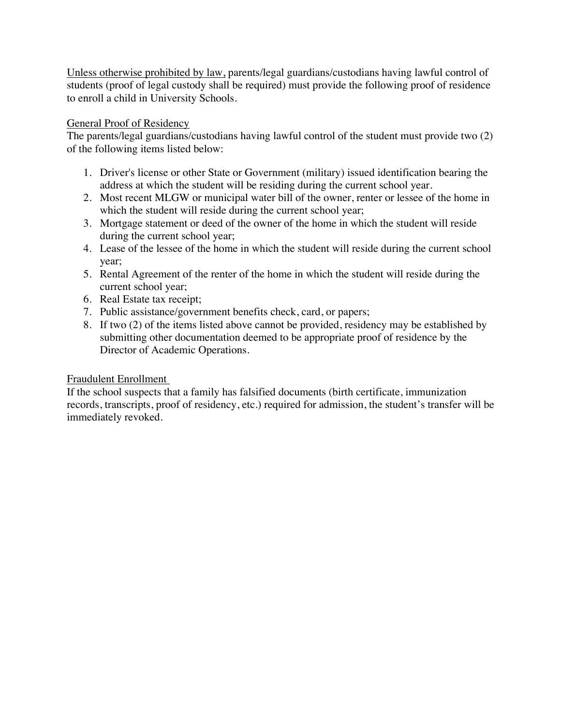Unless otherwise prohibited by law, parents/legal guardians/custodians having lawful control of students (proof of legal custody shall be required) must provide the following proof of residence to enroll a child in University Schools.

#### General Proof of Residency

The parents/legal guardians/custodians having lawful control of the student must provide two (2) of the following items listed below:

- 1. Driver's license or other State or Government (military) issued identification bearing the address at which the student will be residing during the current school year.
- 2. Most recent MLGW or municipal water bill of the owner, renter or lessee of the home in which the student will reside during the current school year;
- 3. Mortgage statement or deed of the owner of the home in which the student will reside during the current school year;
- 4. Lease of the lessee of the home in which the student will reside during the current school year;
- 5. Rental Agreement of the renter of the home in which the student will reside during the current school year;
- 6. Real Estate tax receipt;
- 7. Public assistance/government benefits check, card, or papers;
- 8. If two (2) of the items listed above cannot be provided, residency may be established by submitting other documentation deemed to be appropriate proof of residence by the Director of Academic Operations.

## Fraudulent Enrollment

If the school suspects that a family has falsified documents (birth certificate, immunization records, transcripts, proof of residency, etc.) required for admission, the student's transfer will be immediately revoked.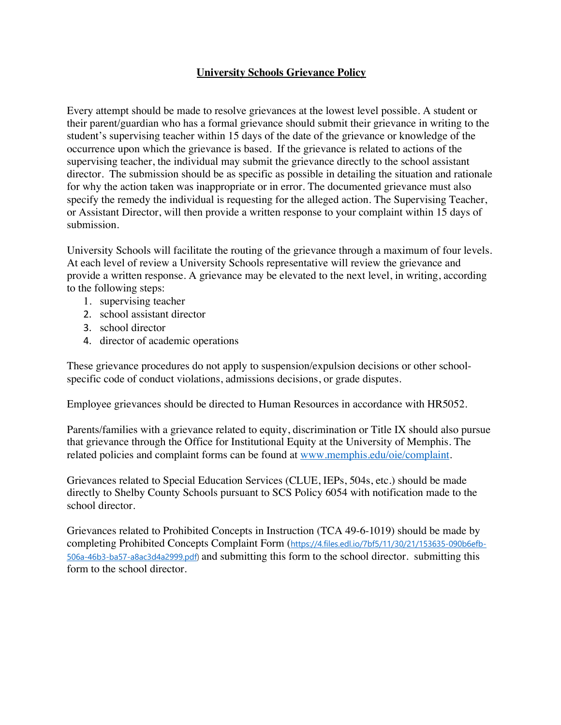## **University Schools Grievance Policy**

Every attempt should be made to resolve grievances at the lowest level possible. A student or their parent/guardian who has a formal grievance should submit their grievance in writing to the student's supervising teacher within 15 days of the date of the grievance or knowledge of the occurrence upon which the grievance is based. If the grievance is related to actions of the supervising teacher, the individual may submit the grievance directly to the school assistant director. The submission should be as specific as possible in detailing the situation and rationale for why the action taken was inappropriate or in error. The documented grievance must also specify the remedy the individual is requesting for the alleged action. The Supervising Teacher, or Assistant Director, will then provide a written response to your complaint within 15 days of submission.

University Schools will facilitate the routing of the grievance through a maximum of four levels. At each level of review a University Schools representative will review the grievance and provide a written response. A grievance may be elevated to the next level, in writing, according to the following steps:

- 1. supervising teacher
- 2. school assistant director
- 3. school director
- 4. director of academic operations

These grievance procedures do not apply to suspension/expulsion decisions or other schoolspecific code of conduct violations, admissions decisions, or grade disputes.

Employee grievances should be directed to Human Resources in accordance with HR5052.

Parents/families with a grievance related to equity, discrimination or Title IX should also pursue that grievance through the Office for Institutional Equity at the University of Memphis. The related policies and complaint forms can be found at www.memphis.edu/oie/complaint.

Grievances related to Special Education Services (CLUE, IEPs, 504s, etc.) should be made directly to Shelby County Schools pursuant to SCS Policy 6054 with notification made to the school director.

Grievances related to Prohibited Concepts in Instruction (TCA 49-6-1019) should be made by completing Prohibited Concepts Complaint Form (https://4.files.edl.io/7bf5/11/30/21/153635-090b6efb-506a-46b3-ba57-a8ac3d4a2999.pdf) and submitting this form to the school director. submitting this form to the school director.